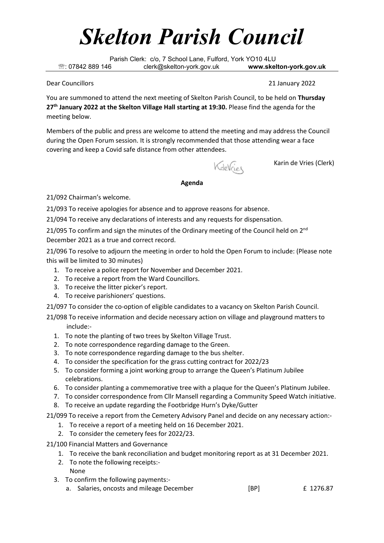## *Skelton Parish Council*

Parish Clerk: c/o, 7 School Lane, Fulford, York YO10 4LU : 07842 889 146 clerk@skelton-york.gov.uk **www.skelton-york.gov.uk**

Dear Councillors 21 January 2022

You are summoned to attend the next meeting of Skelton Parish Council, to be held on **Thursday 27 th January 2022 at the Skelton Village Hall starting at 19:30.** Please find the agenda for the meeting below.

Members of the public and press are welcome to attend the meeting and may address the Council during the Open Forum session. It is strongly recommended that those attending wear a face covering and keep a Covid safe distance from other attendees.

KdeVries

Karin de Vries (Clerk)

## **Agenda**

21/092 Chairman's welcome.

21/093 To receive apologies for absence and to approve reasons for absence.

21/094 To receive any declarations of interests and any requests for dispensation.

21/095 To confirm and sign the minutes of the Ordinary meeting of the Council held on  $2^{nd}$ December 2021 as a true and correct record.

21/096 To resolve to adjourn the meeting in order to hold the Open Forum to include: (Please note this will be limited to 30 minutes)

- 1. To receive a police report for November and December 2021.
- 2. To receive a report from the Ward Councillors.
- 3. To receive the litter picker's report.
- 4. To receive parishioners' questions.

21/097 To consider the co-option of eligible candidates to a vacancy on Skelton Parish Council.

21/098 To receive information and decide necessary action on village and playground matters to include:-

- 1. To note the planting of two trees by Skelton Village Trust.
- 2. To note correspondence regarding damage to the Green.
- 3. To note correspondence regarding damage to the bus shelter.
- 4. To consider the specification for the grass cutting contract for 2022/23
- 5. To consider forming a joint working group to arrange the Queen's Platinum Jubilee celebrations.
- 6. To consider planting a commemorative tree with a plaque for the Queen's Platinum Jubilee.
- 7. To consider correspondence from Cllr Mansell regarding a Community Speed Watch initiative.
- 8. To receive an update regarding the Footbridge Hurn's Dyke/Gutter

21/099 To receive a report from the Cemetery Advisory Panel and decide on any necessary action:-

- 1. To receive a report of a meeting held on 16 December 2021.
- 2. To consider the cemetery fees for 2022/23.

21/100 Financial Matters and Governance

- 1. To receive the bank reconciliation and budget monitoring report as at 31 December 2021.
- 2. To note the following receipts:- None
- 3. To confirm the following payments:
	- a. Salaries, oncosts and mileage December [BP] 6 1276.87